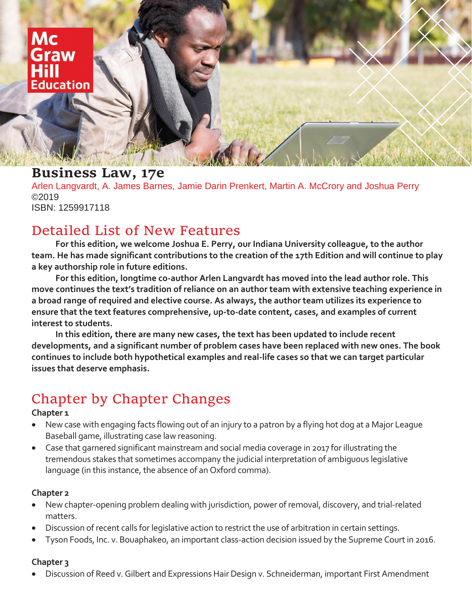

# **Business Law, 17e**

Arlen Langvardt, A. James Barnes, Jamie Darin Prenkert, Martin A. McCrory and Joshua Perry ©2019 ISBN: 1259917118

# Detailed List of New Features

**For this edition, we welcome Joshua E. Perry, our Indiana University colleague, to the author team. He has made significant contributions to the creation of the 17th Edition and will continue to play a key authorship role in future editions.** 

**For this edition, longtime co-author Arlen Langvardt has moved into the lead author role. This move continues the text's tradition of reliance on an author team with extensive teaching experience in a broad range of required and elective course. As always, the author team utilizes its experience to ensure that the text features comprehensive, up-to-date content, cases, and examples of current interest to students.**

**In this edition, there are many new cases, the text has been updated to include recent developments, and a significant number of problem cases have been replaced with new ones. The book continues to include both hypothetical examples and real-life cases so that we can target particular issues that deserve emphasis.** 

# Chapter by Chapter Changes

#### **Chapter 1**

- New case with engaging facts flowing out of an injury to a patron by a flying hot dog at a Major League Baseball game, illustrating case law reasoning.
- Case that garnered significant mainstream and social media coverage in 2017 for illustrating the tremendous stakes that sometimes accompany the judicial interpretation of ambiguous legislative language (in this instance, the absence of an Oxford comma).

#### **Chapter 2**

- New chapter-opening problem dealing with jurisdiction, power of removal, discovery, and trial-related matters.
- Discussion of recent calls for legislative action to restrict the use of arbitration in certain settings.
- Tyson Foods, Inc. v. Bouaphakeo, an important class-action decision issued by the Supreme Court in 2016.

### **Chapter 3**

• Discussion of Reed v. Gilbert and Expressions Hair Design v. Schneiderman, important First Amendment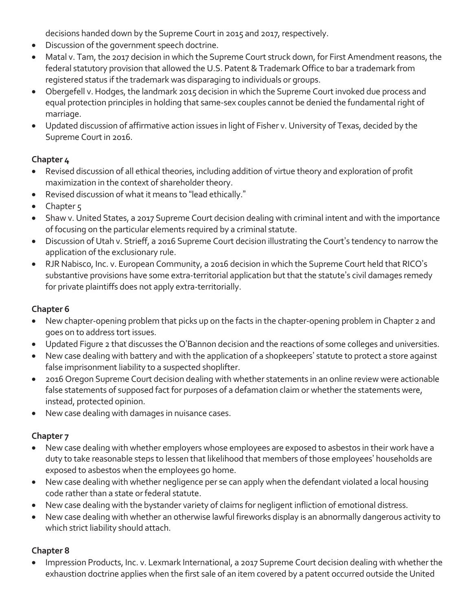decisions handed down by the Supreme Court in 2015 and 2017, respectively.

- Discussion of the government speech doctrine.
- Matal v. Tam, the 2017 decision in which the Supreme Court struck down, for First Amendment reasons, the federal statutory provision that allowed the U.S. Patent & Trademark Office to bar a trademark from registered status if the trademark was disparaging to individuals or groups.
- Obergefell v. Hodges, the landmark 2015 decision in which the Supreme Court invoked due process and equal protection principles in holding that same-sex couples cannot be denied the fundamental right of marriage.
- Updated discussion of affirmative action issues in light of Fisher v. University of Texas, decided by the Supreme Court in 2016.

# **Chapter 4**

- Revised discussion of all ethical theories, including addition of virtue theory and exploration of profit maximization in the context of shareholder theory.
- Revised discussion of what it means to "lead ethically."
- Chapter 5
- Shaw v. United States, a 2017 Supreme Court decision dealing with criminal intent and with the importance of focusing on the particular elements required by a criminal statute.
- Discussion of Utah v. Strieff, a 2016 Supreme Court decision illustrating the Court's tendency to narrow the application of the exclusionary rule.
- RJR Nabisco, Inc. v. European Community, a 2016 decision in which the Supreme Court held that RICO's substantive provisions have some extra-territorial application but that the statute's civil damages remedy for private plaintiffs does not apply extra-territorially.

# **Chapter 6**

- New chapter-opening problem that picks up on the facts in the chapter-opening problem in Chapter 2 and goes on to address tort issues.
- Updated Figure 2 that discusses the O'Bannon decision and the reactions of some colleges and universities.
- New case dealing with battery and with the application of a shopkeepers' statute to protect a store against false imprisonment liability to a suspected shoplifter.
- 2016 Oregon Supreme Court decision dealing with whether statements in an online review were actionable false statements of supposed fact for purposes of a defamation claim or whether the statements were, instead, protected opinion.
- New case dealing with damages in nuisance cases.

# **Chapter 7**

- New case dealing with whether employers whose employees are exposed to asbestos in their work have a duty to take reasonable steps to lessen that likelihood that members of those employees' households are exposed to asbestos when the employees go home.
- New case dealing with whether negligence per se can apply when the defendant violated a local housing code rather than a state or federal statute.
- New case dealing with the bystander variety of claims for negligent infliction of emotional distress.
- New case dealing with whether an otherwise lawful fireworks display is an abnormally dangerous activity to which strict liability should attach.

# **Chapter 8**

• Impression Products, Inc. v. Lexmark International, a 2017 Supreme Court decision dealing with whether the exhaustion doctrine applies when the first sale of an item covered by a patent occurred outside the United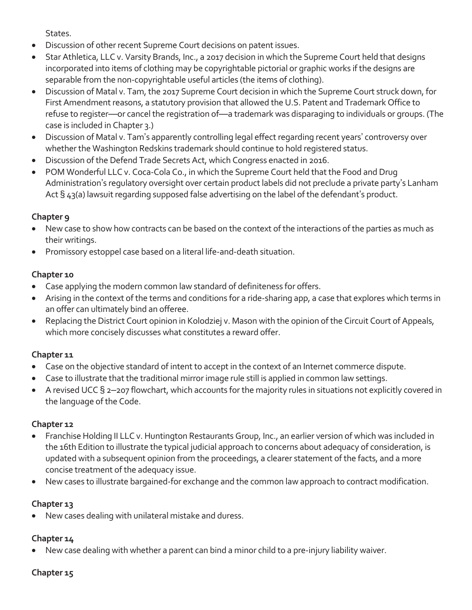States.

- Discussion of other recent Supreme Court decisions on patent issues.
- Star Athletica, LLC v. Varsity Brands, Inc., a 2017 decision in which the Supreme Court held that designs incorporated into items of clothing may be copyrightable pictorial or graphic works if the designs are separable from the non-copyrightable useful articles (the items of clothing).
- Discussion of Matal v. Tam, the 2017 Supreme Court decision in which the Supreme Court struck down, for First Amendment reasons, a statutory provision that allowed the U.S. Patent and Trademark Office to refuse to register—or cancel the registration of—a trademark was disparaging to individuals or groups. (The case is included in Chapter 3.)
- Discussion of Matal v. Tam's apparently controlling legal effect regarding recent years' controversy over whether the Washington Redskins trademark should continue to hold registered status.
- Discussion of the Defend Trade Secrets Act, which Congress enacted in 2016.
- POM Wonderful LLC v. Coca-Cola Co., in which the Supreme Court held that the Food and Drug Administration's regulatory oversight over certain product labels did not preclude a private party's Lanham Act § 43(a) lawsuit regarding supposed false advertising on the label of the defendant's product.

# **Chapter 9**

- New case to show how contracts can be based on the context of the interactions of the parties as much as their writings.
- Promissory estoppel case based on a literal life-and-death situation.

# **Chapter 10**

- Case applying the modern common law standard of definiteness for offers.
- Arising in the context of the terms and conditions for a ride-sharing app, a case that explores which terms in an offer can ultimately bind an offeree.
- Replacing the District Court opinion in Kolodziej v. Mason with the opinion of the Circuit Court of Appeals, which more concisely discusses what constitutes a reward offer.

# **Chapter 11**

- Case on the objective standard of intent to accept in the context of an Internet commerce dispute.
- Case to illustrate that the traditional mirror image rule still is applied in common law settings.
- A revised UCC § 2-207 flowchart, which accounts for the majority rules in situations not explicitly covered in the language of the Code.

# **Chapter 12**

- Franchise Holding II LLC v. Huntington Restaurants Group, Inc., an earlier version of which was included in the 16th Edition to illustrate the typical judicial approach to concerns about adequacy of consideration, is updated with a subsequent opinion from the proceedings, a clearer statement of the facts, and a more concise treatment of the adequacy issue.
- New cases to illustrate bargained-for exchange and the common law approach to contract modification.

# **Chapter 13**

• New cases dealing with unilateral mistake and duress.

# **Chapter 14**

• New case dealing with whether a parent can bind a minor child to a pre-injury liability waiver.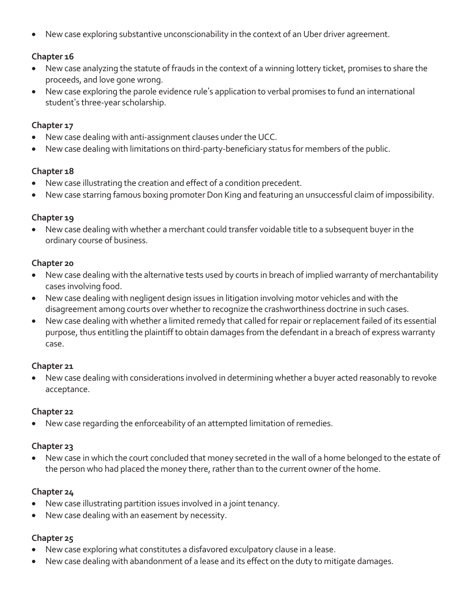• New case exploring substantive unconscionability in the context of an Uber driver agreement.

### **Chapter 16**

- New case analyzing the statute of frauds in the context of a winning lottery ticket, promises to share the proceeds, and love gone wrong.
- New case exploring the parole evidence rule's application to verbal promises to fund an international student's three-year scholarship.

#### **Chapter 17**

- New case dealing with anti-assignment clauses under the UCC.
- New case dealing with limitations on third-party-beneficiary status for members of the public.

#### **Chapter 18**

- New case illustrating the creation and effect of a condition precedent.
- New case starring famous boxing promoter Don King and featuring an unsuccessful claim of impossibility.

#### **Chapter 19**

• New case dealing with whether a merchant could transfer voidable title to a subsequent buyer in the ordinary course of business.

#### **Chapter 20**

- New case dealing with the alternative tests used by courts in breach of implied warranty of merchantability cases involving food.
- New case dealing with negligent design issues in litigation involving motor vehicles and with the disagreement among courts over whether to recognize the crashworthiness doctrine in such cases.
- New case dealing with whether a limited remedy that called for repair or replacement failed of its essential purpose, thus entitling the plaintiff to obtain damages from the defendant in a breach of express warranty case.

#### **Chapter 21**

• New case dealing with considerations involved in determining whether a buyer acted reasonably to revoke acceptance.

#### **Chapter 22**

• New case regarding the enforceability of an attempted limitation of remedies.

#### **Chapter 23**

• New case in which the court concluded that money secreted in the wall of a home belonged to the estate of the person who had placed the money there, rather than to the current owner of the home.

### **Chapter 24**

- New case illustrating partition issues involved in a joint tenancy.
- New case dealing with an easement by necessity.

- New case exploring what constitutes a disfavored exculpatory clause in a lease.
- New case dealing with abandonment of a lease and its effect on the duty to mitigate damages.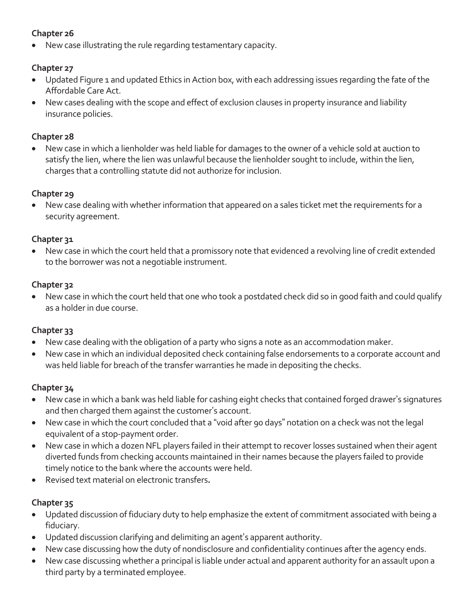# **Chapter 26**

• New case illustrating the rule regarding testamentary capacity.

# **Chapter 27**

- Updated Figure 1 and updated Ethics in Action box, with each addressing issues regarding the fate of the Affordable Care Act.
- New cases dealing with the scope and effect of exclusion clauses in property insurance and liability insurance policies.

# **Chapter 28**

• New case in which a lienholder was held liable for damages to the owner of a vehicle sold at auction to satisfy the lien, where the lien was unlawful because the lienholder sought to include, within the lien, charges that a controlling statute did not authorize for inclusion.

# **Chapter 29**

• New case dealing with whether information that appeared on a sales ticket met the requirements for a security agreement.

# **Chapter 31**

• New case in which the court held that a promissory note that evidenced a revolving line of credit extended to the borrower was not a negotiable instrument.

# **Chapter 32**

• New case in which the court held that one who took a postdated check did so in good faith and could qualify as a holder in due course.

# **Chapter 33**

- New case dealing with the obligation of a party who signs a note as an accommodation maker.
- New case in which an individual deposited check containing false endorsements to a corporate account and was held liable for breach of the transfer warranties he made in depositing the checks.

# **Chapter 34**

- New case in which a bank was held liable for cashing eight checks that contained forged drawer's signatures and then charged them against the customer's account.
- New case in which the court concluded that a "void after 90 days" notation on a check was not the legal equivalent of a stop-payment order.
- New case in which a dozen NFL players failed in their attempt to recover losses sustained when their agent diverted funds from checking accounts maintained in their names because the players failed to provide timely notice to the bank where the accounts were held.
- Revised text material on electronic transfers**.**

- Updated discussion of fiduciary duty to help emphasize the extent of commitment associated with being a fiduciary.
- Updated discussion clarifying and delimiting an agent's apparent authority.
- New case discussing how the duty of nondisclosure and confidentiality continues after the agency ends.
- New case discussing whether a principal is liable under actual and apparent authority for an assault upon a third party by a terminated employee.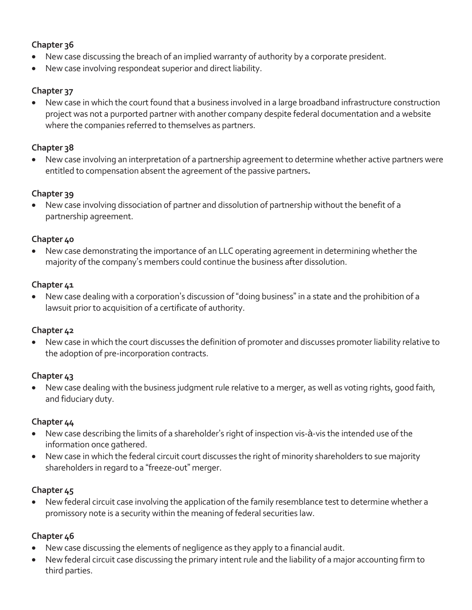# **Chapter 36**

- New case discussing the breach of an implied warranty of authority by a corporate president.
- New case involving respondeat superior and direct liability.

### **Chapter 37**

• New case in which the court found that a business involved in a large broadband infrastructure construction project was not a purported partner with another company despite federal documentation and a website where the companies referred to themselves as partners.

## **Chapter 38**

• New case involving an interpretation of a partnership agreement to determine whether active partners were entitled to compensation absent the agreement of the passive partners**.**

### **Chapter 39**

• New case involving dissociation of partner and dissolution of partnership without the benefit of a partnership agreement.

#### **Chapter 40**

• New case demonstrating the importance of an LLC operating agreement in determining whether the majority of the company's members could continue the business after dissolution.

### **Chapter 41**

• New case dealing with a corporation's discussion of "doing business" in a state and the prohibition of a lawsuit prior to acquisition of a certificate of authority.

### **Chapter 42**

• New case in which the court discusses the definition of promoter and discusses promoter liability relative to the adoption of pre-incorporation contracts.

### **Chapter 43**

• New case dealing with the business judgment rule relative to a merger, as well as voting rights, good faith, and fiduciary duty.

### **Chapter 44**

- New case describing the limits of a shareholder's right of inspection vis-à-vis the intended use of the information once gathered.
- New case in which the federal circuit court discusses the right of minority shareholders to sue majority shareholders in regard to a "freeze-out" merger.

### **Chapter 45**

• New federal circuit case involving the application of the family resemblance test to determine whether a promissory note is a security within the meaning of federal securities law.

- New case discussing the elements of negligence as they apply to a financial audit.
- New federal circuit case discussing the primary intent rule and the liability of a major accounting firm to third parties.